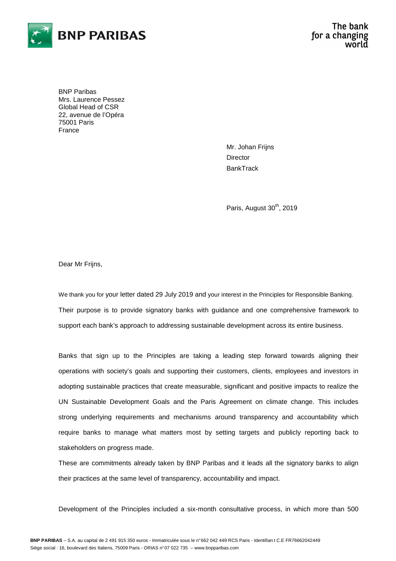

BNP Paribas Mrs. Laurence Pessez Global Head of CSR 22, avenue de l'Opéra 75001 Paris France

> Mr. Johan Frijns **Director BankTrack**

Paris, August 30<sup>th</sup>, 2019

Dear Mr Frijns,

We thank you for your letter dated 29 July 2019 and your interest in the Principles for Responsible Banking. Their purpose is to provide signatory banks with guidance and one comprehensive framework to support each bank's approach to addressing sustainable development across its entire business.

Banks that sign up to the Principles are taking a leading step forward towards aligning their operations with society's goals and supporting their customers, clients, employees and investors in adopting sustainable practices that create measurable, significant and positive impacts to realize the UN Sustainable Development Goals and the Paris Agreement on climate change. This includes strong underlying requirements and mechanisms around transparency and accountability which require banks to manage what matters most by setting targets and publicly reporting back to stakeholders on progress made.

These are commitments already taken by BNP Paribas and it leads all the signatory banks to align their practices at the same level of transparency, accountability and impact.

Development of the Principles included a six-month consultative process, in which more than 500